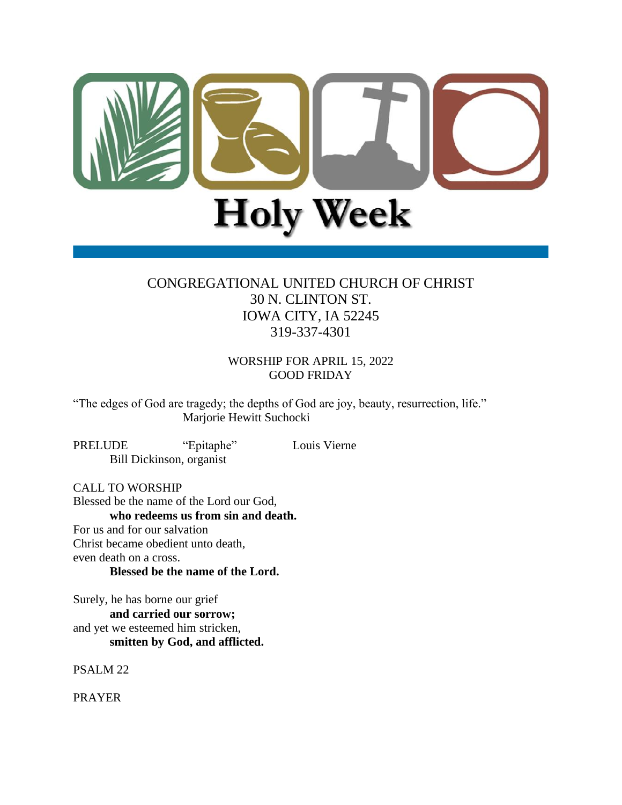

# CONGREGATIONAL UNITED CHURCH OF CHRIST 30 N. CLINTON ST. IOWA CITY, IA 52245 319-337-4301

WORSHIP FOR APRIL 15, 2022 GOOD FRIDAY

"The edges of God are tragedy; the depths of God are joy, beauty, resurrection, life." Marjorie Hewitt Suchocki

PRELUDE "Epitaphe" Louis Vierne Bill Dickinson, organist

CALL TO WORSHIP

Blessed be the name of the Lord our God, **who redeems us from sin and death.** For us and for our salvation Christ became obedient unto death, even death on a cross. **Blessed be the name of the Lord.**

Surely, he has borne our grief **and carried our sorrow;** and yet we esteemed him stricken, **smitten by God, and afflicted.**

PSALM 22

PRAYER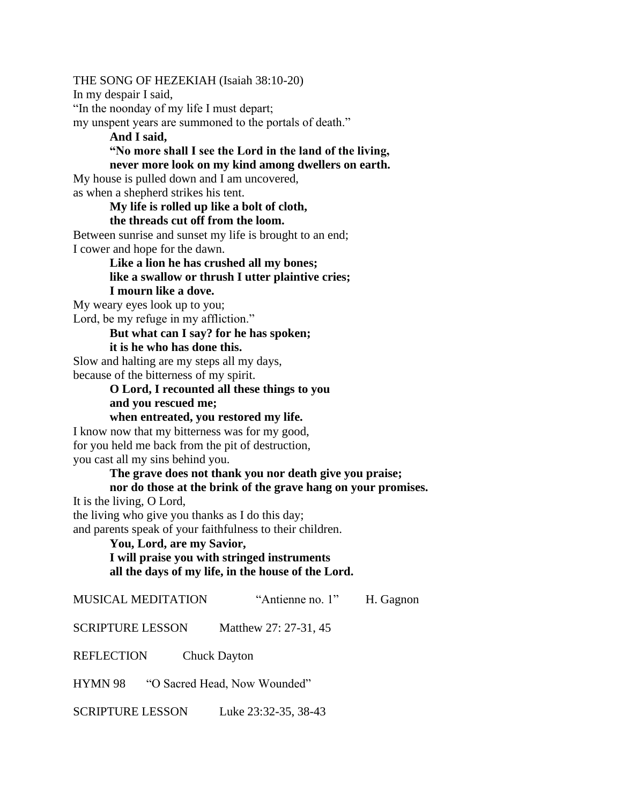THE SONG OF HEZEKIAH (Isaiah 38:10-20)

In my despair I said,

"In the noonday of my life I must depart;

my unspent years are summoned to the portals of death."

**And I said, "No more shall I see the Lord in the land of the living, never more look on my kind among dwellers on earth.**

My house is pulled down and I am uncovered, as when a shepherd strikes his tent.

**My life is rolled up like a bolt of cloth,**

**the threads cut off from the loom.**

Between sunrise and sunset my life is brought to an end; I cower and hope for the dawn.

> **Like a lion he has crushed all my bones; like a swallow or thrush I utter plaintive cries; I mourn like a dove.**

My weary eyes look up to you; Lord, be my refuge in my affliction."

### **But what can I say? for he has spoken;**

**it is he who has done this.**

Slow and halting are my steps all my days, because of the bitterness of my spirit.

# **O Lord, I recounted all these things to you and you rescued me;**

**when entreated, you restored my life.**

I know now that my bitterness was for my good, for you held me back from the pit of destruction, you cast all my sins behind you.

#### **The grave does not thank you nor death give you praise;**

## **nor do those at the brink of the grave hang on your promises.**

It is the living, O Lord,

the living who give you thanks as I do this day;

and parents speak of your faithfulness to their children.

# **You, Lord, are my Savior,**

### **I will praise you with stringed instruments all the days of my life, in the house of the Lord.**

MUSICAL MEDITATION "Antienne no. 1" H. Gagnon

SCRIPTURE LESSON Matthew 27: 27-31, 45

REFLECTION Chuck Dayton

HYMN 98 "O Sacred Head, Now Wounded"

SCRIPTURE LESSON Luke 23:32-35, 38-43